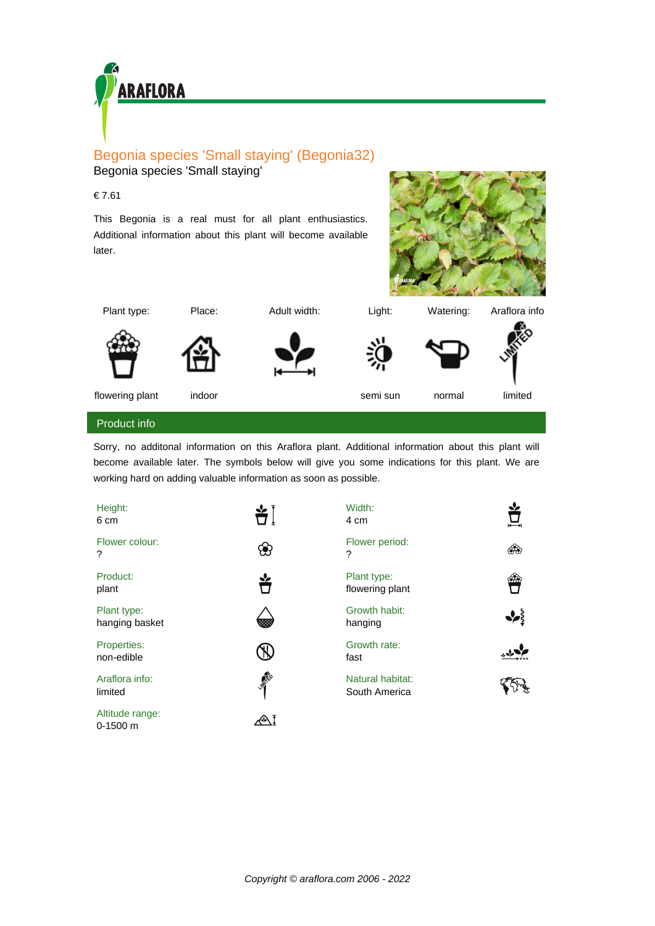

## Begonia species 'Small staying' (Begonia32) Begonia species 'Small staying'

## € 7.61

This Begonia is a real must for all plant enthusiastics. Additional information about this plant will become available later.





Plant type: Place: Adult width: Light: Watering: Araflora info











flowering plant indoor indoor semi sun normal limited

## Product info

Sorry, no additonal information on this Araflora plant. Additional information about this plant will become available later. The symbols below will give you some indications for this plant. We are working hard on adding valuable information as soon as possible.

| Height:<br>6 cm               |                 | Width:<br>4 cm                    |     |
|-------------------------------|-----------------|-----------------------------------|-----|
| Flower colour:<br>?           |                 | Flower period:<br>?               | ශීම |
| Product:<br>plant             |                 | Plant type:<br>flowering plant    | 926 |
| Plant type:<br>hanging basket |                 | Growth habit:<br>hanging          |     |
| Properties:<br>non-edible     |                 | Growth rate:<br>fast              |     |
| Araflora info:<br>limited     | <b>AMERICAN</b> | Natural habitat:<br>South America |     |
| Altitude range:<br>$0-1500$ m |                 |                                   |     |